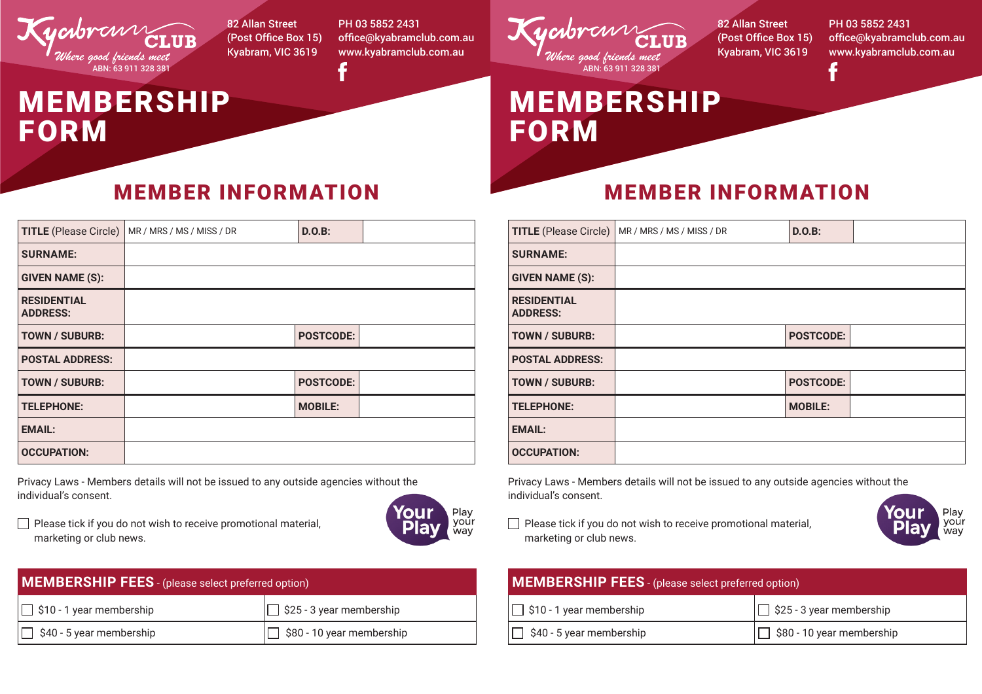

FORM

MEMBERSHIP

82 Allan Street (Post Office Box 15) Kyabram, VIC 3619

PH 03 5852 2431 office@kyabramclub.com.au www.kyabramclub.com.au

## MEMBER INFORMATION

| <b>TITLE</b> (Please Circle)          | MR / MRS / MS / MISS / DR | $D.O.B$ :        |  |
|---------------------------------------|---------------------------|------------------|--|
| <b>SURNAME:</b>                       |                           |                  |  |
| <b>GIVEN NAME (S):</b>                |                           |                  |  |
| <b>RESIDENTIAL</b><br><b>ADDRESS:</b> |                           |                  |  |
| <b>TOWN / SUBURB:</b>                 |                           | <b>POSTCODE:</b> |  |
| <b>POSTAL ADDRESS:</b>                |                           |                  |  |
| <b>TOWN / SUBURB:</b>                 |                           | <b>POSTCODE:</b> |  |
| <b>TELEPHONE:</b>                     |                           | <b>MOBILE:</b>   |  |
| <b>EMAIL:</b>                         |                           |                  |  |
| <b>OCCUPATION:</b>                    |                           |                  |  |

Privacy Laws - Members details will not be issued to any outside agencies without the individual's consent.

 Please tick if you do not wish to receive promotional material, marketing or club news.



| <b>MEMBERSHIP FEES</b> - (please select preferred option) |                                  |  |  |
|-----------------------------------------------------------|----------------------------------|--|--|
| $\Box$ \$10 - 1 year membership                           | $\Box$ \$25 - 3 year membership  |  |  |
| $\Box$ \$40 - 5 year membership                           | $\Box$ \$80 - 10 year membership |  |  |